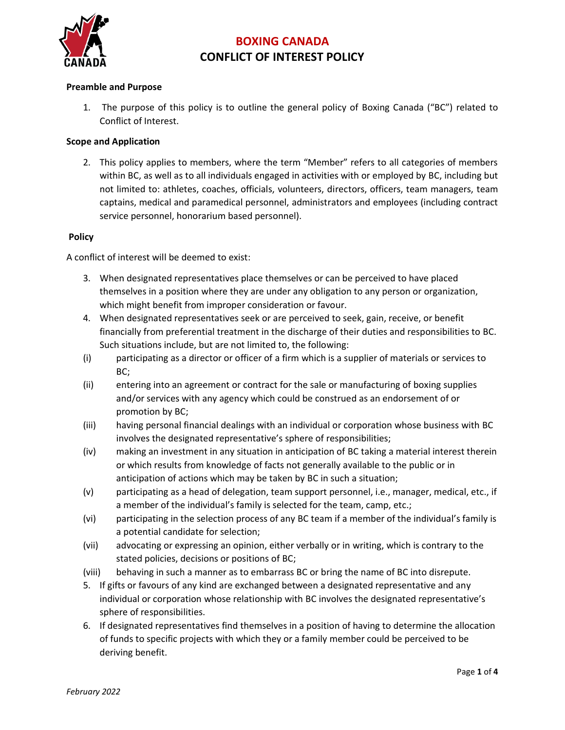

#### **Preamble and Purpose**

1. The purpose of this policy is to outline the general policy of Boxing Canada ("BC") related to Conflict of Interest.

#### **Scope and Application**

2. This policy applies to members, where the term "Member" refers to all categories of members within BC, as well as to all individuals engaged in activities with or employed by BC, including but not limited to: athletes, coaches, officials, volunteers, directors, officers, team managers, team captains, medical and paramedical personnel, administrators and employees (including contract service personnel, honorarium based personnel).

#### **Policy**

A conflict of interest will be deemed to exist:

- 3. When designated representatives place themselves or can be perceived to have placed themselves in a position where they are under any obligation to any person or organization, which might benefit from improper consideration or favour.
- 4. When designated representatives seek or are perceived to seek, gain, receive, or benefit financially from preferential treatment in the discharge of their duties and responsibilities to BC. Such situations include, but are not limited to, the following:
- (i) participating as a director or officer of a firm which is a supplier of materials or services to BC;
- (ii) entering into an agreement or contract for the sale or manufacturing of boxing supplies and/or services with any agency which could be construed as an endorsement of or promotion by BC;
- (iii) having personal financial dealings with an individual or corporation whose business with BC involves the designated representative's sphere of responsibilities;
- (iv) making an investment in any situation in anticipation of BC taking a material interest therein or which results from knowledge of facts not generally available to the public or in anticipation of actions which may be taken by BC in such a situation;
- (v) participating as a head of delegation, team support personnel, i.e., manager, medical, etc., if a member of the individual's family is selected for the team, camp, etc.;
- (vi) participating in the selection process of any BC team if a member of the individual's family is a potential candidate for selection;
- (vii) advocating or expressing an opinion, either verbally or in writing, which is contrary to the stated policies, decisions or positions of BC;
- (viii) behaving in such a manner as to embarrass BC or bring the name of BC into disrepute.
- 5. If gifts or favours of any kind are exchanged between a designated representative and any individual or corporation whose relationship with BC involves the designated representative's sphere of responsibilities.
- 6. If designated representatives find themselves in a position of having to determine the allocation of funds to specific projects with which they or a family member could be perceived to be deriving benefit.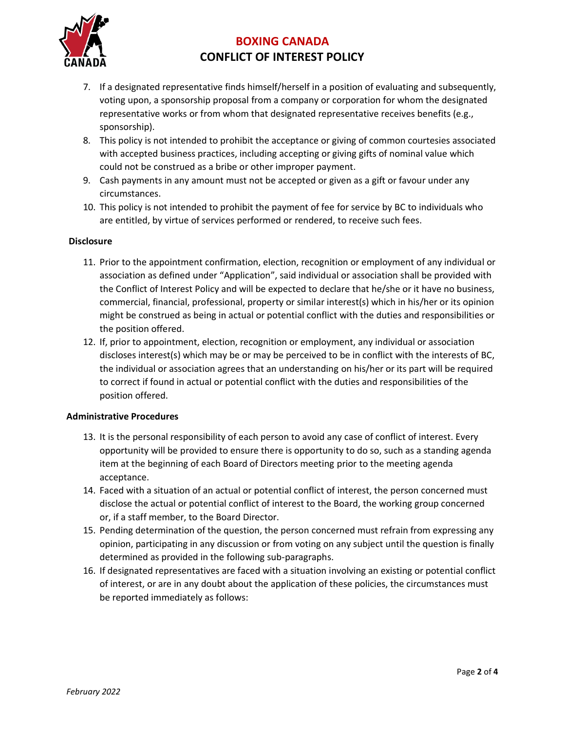

- 7. If a designated representative finds himself/herself in a position of evaluating and subsequently, voting upon, a sponsorship proposal from a company or corporation for whom the designated representative works or from whom that designated representative receives benefits (e.g., sponsorship).
- 8. This policy is not intended to prohibit the acceptance or giving of common courtesies associated with accepted business practices, including accepting or giving gifts of nominal value which could not be construed as a bribe or other improper payment.
- 9. Cash payments in any amount must not be accepted or given as a gift or favour under any circumstances.
- 10. This policy is not intended to prohibit the payment of fee for service by BC to individuals who are entitled, by virtue of services performed or rendered, to receive such fees.

#### **Disclosure**

- 11. Prior to the appointment confirmation, election, recognition or employment of any individual or association as defined under "Application", said individual or association shall be provided with the Conflict of Interest Policy and will be expected to declare that he/she or it have no business, commercial, financial, professional, property or similar interest(s) which in his/her or its opinion might be construed as being in actual or potential conflict with the duties and responsibilities or the position offered.
- 12. If, prior to appointment, election, recognition or employment, any individual or association discloses interest(s) which may be or may be perceived to be in conflict with the interests of BC, the individual or association agrees that an understanding on his/her or its part will be required to correct if found in actual or potential conflict with the duties and responsibilities of the position offered.

#### **Administrative Procedures**

- 13. It is the personal responsibility of each person to avoid any case of conflict of interest. Every opportunity will be provided to ensure there is opportunity to do so, such as a standing agenda item at the beginning of each Board of Directors meeting prior to the meeting agenda acceptance.
- 14. Faced with a situation of an actual or potential conflict of interest, the person concerned must disclose the actual or potential conflict of interest to the Board, the working group concerned or, if a staff member, to the Board Director.
- 15. Pending determination of the question, the person concerned must refrain from expressing any opinion, participating in any discussion or from voting on any subject until the question is finally determined as provided in the following sub-paragraphs.
- 16. If designated representatives are faced with a situation involving an existing or potential conflict of interest, or are in any doubt about the application of these policies, the circumstances must be reported immediately as follows: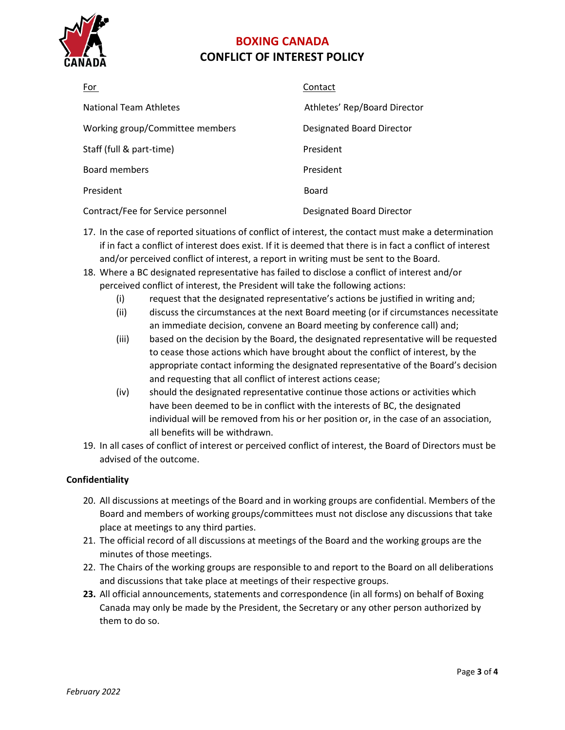

| For                                | Contact                          |
|------------------------------------|----------------------------------|
| National Team Athletes             | Athletes' Rep/Board Director     |
| Working group/Committee members    | <b>Designated Board Director</b> |
| Staff (full & part-time)           | President                        |
| Board members                      | President                        |
| President                          | Board                            |
| Contract/Fee for Service personnel | <b>Designated Board Director</b> |

- 17. In the case of reported situations of conflict of interest, the contact must make a determination if in fact a conflict of interest does exist. If it is deemed that there is in fact a conflict of interest and/or perceived conflict of interest, a report in writing must be sent to the Board.
- 18. Where a BC designated representative has failed to disclose a conflict of interest and/or perceived conflict of interest, the President will take the following actions:
	- (i) request that the designated representative's actions be justified in writing and;
	- (ii) discuss the circumstances at the next Board meeting (or if circumstances necessitate an immediate decision, convene an Board meeting by conference call) and;
	- (iii) based on the decision by the Board, the designated representative will be requested to cease those actions which have brought about the conflict of interest, by the appropriate contact informing the designated representative of the Board's decision and requesting that all conflict of interest actions cease;
	- (iv) should the designated representative continue those actions or activities which have been deemed to be in conflict with the interests of BC, the designated individual will be removed from his or her position or, in the case of an association, all benefits will be withdrawn.
- 19. In all cases of conflict of interest or perceived conflict of interest, the Board of Directors must be advised of the outcome.

#### **Confidentiality**

- 20. All discussions at meetings of the Board and in working groups are confidential. Members of the Board and members of working groups/committees must not disclose any discussions that take place at meetings to any third parties.
- 21. The official record of all discussions at meetings of the Board and the working groups are the minutes of those meetings.
- 22. The Chairs of the working groups are responsible to and report to the Board on all deliberations and discussions that take place at meetings of their respective groups.
- **23.** All official announcements, statements and correspondence (in all forms) on behalf of Boxing Canada may only be made by the President, the Secretary or any other person authorized by them to do so.